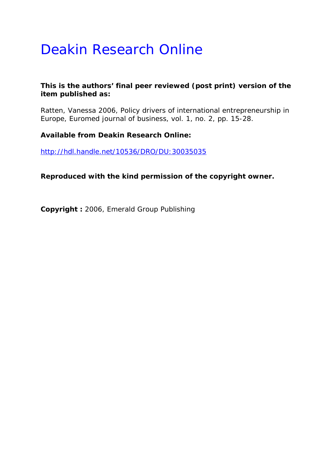# Deakin Research Online

## **This is the authors' final peer reviewed (post print) version of the item published as:**

Ratten, Vanessa 2006, Policy drivers of international entrepreneurship in Europe*, Euromed journal of business*, vol. 1, no. 2, pp. 15-28.

**Available from Deakin Research Online:** 

http://hdl.handle.net/10536/DRO/DU:30035035

**Reproduced with the kind permission of the copyright owner.** 

**Copyright :** 2006, Emerald Group Publishing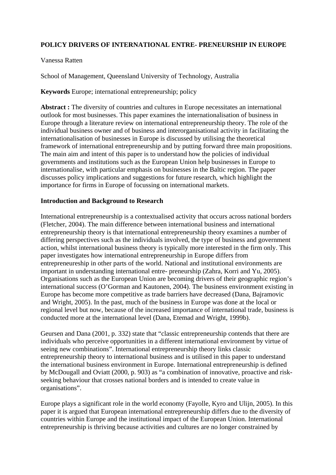## **POLICY DRIVERS OF INTERNATIONAL ENTRE- PRENEURSHIP IN EUROPE**

#### Vanessa Ratten

School of Management, Queensland University of Technology, Australia

## **Keywords** Europe; international entrepreneurship; policy

**Abstract :** The diversity of countries and cultures in Europe necessitates an international outlook for most businesses. This paper examines the internationalisation of business in Europe through a literature review on international entrepreneurship theory. The role of the individual business owner and of business and interorganisational activity in facilitating the internationalisation of businesses in Europe is discussed by utilising the theoretical framework of international entrepreneurship and by putting forward three main propositions. The main aim and intent of this paper is to understand how the policies of individual governments and institutions such as the European Union help businesses in Europe to internationalise, with particular emphasis on businesses in the Baltic region. The paper discusses policy implications and suggestions for future research, which highlight the importance for firms in Europe of focussing on international markets.

#### **Introduction and Background to Research**

International entrepreneurship is a contextualised activity that occurs across national borders (Fletcher, 2004). The main difference between international business and international entrepreneurship theory is that international entrepreneurship theory examines a number of differing perspectives such as the individuals involved, the type of business and government action, whilst international business theory is typically more interested in the firm only. This paper investigates how international entrepreneurship in Europe differs from entrepreneureship in other parts of the world. National and institutional environments are important in understanding international entre- preneurship (Zahra, Korri and Yu, 2005). Organisations such as the European Union are becoming drivers of their geographic region's international success (O'Gorman and Kautonen, 2004). The business environment existing in Europe has become more competitive as trade barriers have decreased (Dana, Bajramovic and Wright, 2005). In the past, much of the business in Europe was done at the local or regional level but now, because of the increased importance of international trade, business is conducted more at the international level (Dana, Etemad and Wright, 1999b).

Geursen and Dana (2001, p. 332) state that "classic entrepreneurship contends that there are individuals who perceive opportunities in a different international environment by virtue of seeing new combinations". International entrepreneurship theory links classic entrepreneurship theory to international business and is utilised in this paper to understand the international business environment in Europe. International entrepreneurship is defined by McDougall and Oviatt (2000, p. 903) as "a combination of innovative, proactive and riskseeking behaviour that crosses national borders and is intended to create value in organisations".

Europe plays a significant role in the world economy (Fayolle, Kyro and Ulijn, 2005). In this paper it is argued that European international entrepreneurship differs due to the diversity of countries within Europe and the institutional impact of the European Union. International entrepreneurship is thriving because activities and cultures are no longer constrained by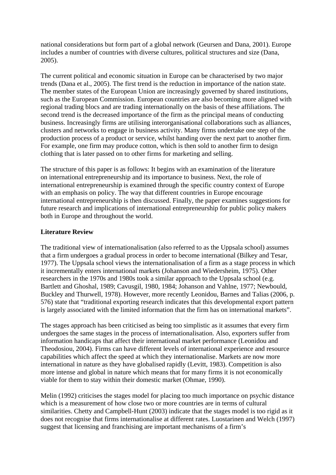national considerations but form part of a global network (Geursen and Dana, 2001). Europe includes a number of countries with diverse cultures, political structures and size (Dana, 2005).

The current political and economic situation in Europe can be characterised by two major trends (Dana et al., 2005). The first trend is the reduction in importance of the nation state. The member states of the European Union are increasingly governed by shared institutions, such as the European Commission. European countries are also becoming more aligned with regional trading blocs and are trading internationally on the basis of these affiliations. The second trend is the decreased importance of the firm as the principal means of conducting business. Increasingly firms are utilising interorganisational collaborations such as alliances, clusters and networks to engage in business activity. Many firms undertake one step of the production process of a product or service, whilst handing over the next part to another firm. For example, one firm may produce cotton, which is then sold to another firm to design clothing that is later passed on to other firms for marketing and selling.

The structure of this paper is as follows: It begins with an examination of the literature on international entrepreneurship and its importance to business. Next, the role of international entrepreneurship is examined through the specific country context of Europe with an emphasis on policy. The way that different countries in Europe encourage international entrepreneurship is then discussed. Finally, the paper examines suggestions for future research and implications of international entrepreneurship for public policy makers both in Europe and throughout the world.

## **Literature Review**

The traditional view of internationalisation (also referred to as the Uppsala school) assumes that a firm undergoes a gradual process in order to become international (Bilkey and Tesar, 1977). The Uppsala school views the internationalisation of a firm as a stage process in which it incrementally enters international markets (Johanson and Wiedersheim, 1975). Other researchers in the 1970s and 1980s took a similar approach to the Uppsala school (e.g. Bartlett and Ghoshal, 1989; Cavusgil, 1980, 1984; Johanson and Vahlne, 1977; Newbould, Buckley and Thurwell, 1978). However, more recently Leonidou, Barnes and Talias (2006, p. 576) state that "traditional exporting research indicates that this developmental export pattern is largely associated with the limited information that the firm has on international markets".

The stages approach has been criticised as being too simplistic as it assumes that every firm undergoes the same stages in the process of internationalisation. Also, exporters suffer from information handicaps that affect their international market performance (Leonidou and Theodosiou, 2004). Firms can have different levels of international experience and resource capabilities which affect the speed at which they internationalise. Markets are now more international in nature as they have globalised rapidly (Levitt, 1983). Competition is also more intense and global in nature which means that for many firms it is not economically viable for them to stay within their domestic market (Ohmae, 1990).

Melin (1992) criticises the stages model for placing too much importance on psychic distance which is a measurement of how close two or more countries are in terms of cultural similarities. Chetty and Campbell-Hunt (2003) indicate that the stages model is too rigid as it does not recognise that firms internationalise at different rates. Luostarinen and Welch (1997) suggest that licensing and franchising are important mechanisms of a firm's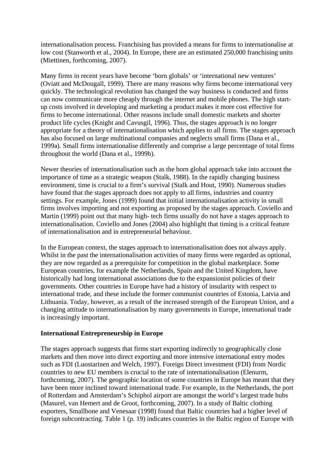internationalisation process. Franchising has provided a means for firms to internationalise at low cost (Stanworth et al., 2004). In Europe, there are an estimated 250,000 franchising units (Miettinen, forthcoming, 2007).

Many firms in recent years have become 'born globals' or 'international new ventures' (Oviatt and McDougall, 1999). There are many reasons why firms become international very quickly. The technological revolution has changed the way business is conducted and firms can now communicate more cheaply through the internet and mobile phones. The high startup costs involved in developing and marketing a product makes it more cost effective for firms to become international. Other reasons include small domestic markets and shorter product life cycles (Knight and Cavusgil, 1996). Thus, the stages approach is no longer appropriate for a theory of internationalisation which applies to all firms. The stages approach has also focused on large multinational companies and neglects small firms (Dana et al., 1999a). Small firms internationalise differently and comprise a large percentage of total firms throughout the world (Dana et al., 1999b).

Newer theories of internationalisation such as the born global approach take into account the importance of time as a strategic weapon (Stalk, 1988). In the rapidly changing business environment, time is crucial to a firm's survival (Stalk and Hout, 1990). Numerous studies have found that the stages approach does not apply to all firms, industries and country settings. For example, Jones (1999) found that initial internationalisation activity in small firms involves importing and not exporting as proposed by the stages approach. Coviello and Martin (1999) point out that many high- tech firms usually do not have a stages approach to internationalisation. Coviello and Jones (2004) also highlight that timing is a critical feature of internationalisation and in entrepreneurial behaviour.

In the European context, the stages approach to internationalisation does not always apply. Whilst in the past the internationalisation activities of many firms were regarded as optional, they are now regarded as a prerequisite for competition in the global marketplace. Some European countries, for example the Netherlands, Spain and the United Kingdom, have historically had long international associations due to the expansionist policies of their governments. Other countries in Europe have had a history of insularity with respect to international trade, and these include the former communist countries of Estonia, Latvia and Lithuania. Today, however, as a result of the increased strength of the European Union, and a changing attitude to internationalisation by many governments in Europe, international trade is increasingly important.

#### **International Entrepreneurship in Europe**

The stages approach suggests that firms start exporting indirectly to geographically close markets and then move into direct exporting and more intensive international entry modes such as FDI (Luostarinen and Welch, 1997). Foreign Direct investment (FDI) from Nordic countries to new EU members is crucial to the rate of internationalisation (Elenurm, forthcoming, 2007). The geographic location of some countries in Europe has meant that they have been more inclined toward international trade. For example, in the Netherlands, the port of Rotterdam and Amsterdam's Schiphol airport are amongst the world's largest trade hubs (Masurel, van Hemert and de Groot, forthcoming, 2007). In a study of Baltic clothing exporters, Smallbone and Venesaar (1998) found that Baltic countries had a higher level of foreign subcontracting. Table 1 (p. 19) indicates countries in the Baltic region of Europe with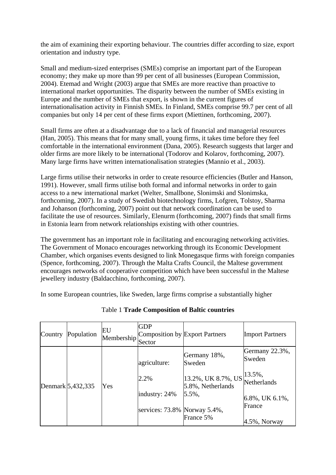the aim of examining their exporting behaviour. The countries differ according to size, export orientation and industry type.

Small and medium-sized enterprises (SMEs) comprise an important part of the European economy; they make up more than 99 per cent of all businesses (European Commission, 2004). Etemad and Wright (2003) argue that SMEs are more reactive than proactive to international market opportunities. The disparity between the number of SMEs existing in Europe and the number of SMEs that export, is shown in the current figures of internationalisation activity in Finnish SMEs. In Finland, SMEs comprise 99.7 per cent of all companies but only 14 per cent of these firms export (Miettinen, forthcoming, 2007).

Small firms are often at a disadvantage due to a lack of financial and managerial resources (Han, 2005). This means that for many small, young firms, it takes time before they feel comfortable in the international environment (Dana, 2005). Research suggests that larger and older firms are more likely to be international (Todorov and Kolarov, forthcoming, 2007). Many large firms have written internationalisation strategies (Mannio et al., 2003).

Large firms utilise their networks in order to create resource efficiencies (Butler and Hanson, 1991). However, small firms utilise both formal and informal networks in order to gain access to a new international market (Welter, Smallbone, Slonimski and Slonimska, forthcoming, 2007). In a study of Swedish biotechnology firms, Lofgren, Tolstoy, Sharma and Johanson (forthcoming, 2007) point out that network coordination can be used to facilitate the use of resources. Similarly, Elenurm (forthcoming, 2007) finds that small firms in Estonia learn from network relationships existing with other countries.

The government has an important role in facilitating and encouraging networking activities. The Government of Monaco encourages networking through its Economic Development Chamber, which organises events designed to link Monegasque firms with foreign companies (Spence, forthcoming, 2007). Through the Malta Crafts Council, the Maltese government encourages networks of cooperative competition which have been successful in the Maltese jewellery industry (Baldacchino, forthcoming, 2007).

In some European countries, like Sweden, large firms comprise a substantially higher

| Country | Population        | EU<br>Membership | <b>GDP</b><br>Composition by Export Partners<br>Sector |                                                  | <b>Import Partners</b>   |
|---------|-------------------|------------------|--------------------------------------------------------|--------------------------------------------------|--------------------------|
|         | Denmark 5,432,335 | Yes              | agriculture:                                           | Germany 18%,<br>Sweden                           | Germany 22.3%,<br>Sweden |
|         |                   |                  | 2.2%                                                   | 13.2%, UK 8.7%, US<br>5.8%, Netherlands<br>5.5%, | 13.5%,<br>Netherlands    |
|         |                   |                  | industry: 24%                                          |                                                  | 6.8%, UK 6.1%,           |
|         |                   |                  | services: 73.8% Norway 5.4%,                           |                                                  | France                   |
|         |                   |                  |                                                        | France 5%                                        | $4.5\%$ , Norway         |

Table 1 **Trade Composition of Baltic countries**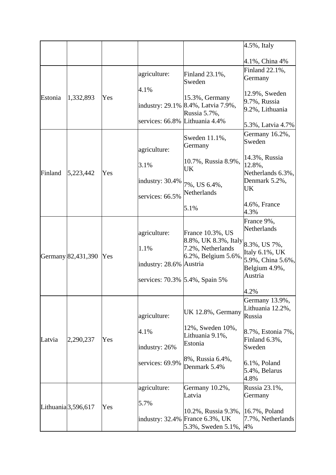|         |                                  |     |                                                                                   |                                                                                      | $4.5\%$ , Italy                                                                                              |
|---------|----------------------------------|-----|-----------------------------------------------------------------------------------|--------------------------------------------------------------------------------------|--------------------------------------------------------------------------------------------------------------|
|         |                                  |     |                                                                                   |                                                                                      | 4.1%, China 4%                                                                                               |
|         |                                  |     | agriculture:                                                                      | Finland 23.1%,<br>Sweden                                                             | Finland 22.1%,<br>Germany                                                                                    |
| Estonia | 1,332,893                        | Yes | 4.1%<br>services: 66.8% Lithuania 4.4%                                            | 15.3%, Germany<br>industry: 29.1% 8.4%, Latvia 7.9%,<br>Russia 5.7%,                 | 12.9%, Sweden<br>9.7%, Russia<br>9.2%, Lithuania<br>5.3%, Latvia 4.7%                                        |
| Finland | 5,223,442                        | Yes | agriculture:                                                                      | Sweden 11.1%,<br>Germany                                                             | Germany 16.2%,<br>Sweden                                                                                     |
|         |                                  |     | 3.1%                                                                              | 10.7%, Russia 8.9%,<br>UK                                                            | 14.3%, Russia<br>12.8%,<br>Netherlands 6.3%,                                                                 |
|         |                                  |     | industry: 30.4%<br>services: 66.5%                                                | 7%, US 6.4%,<br>Netherlands                                                          | Denmark 5.2%,<br>UK                                                                                          |
|         |                                  |     |                                                                                   | 5.1%                                                                                 | 4.6%, France<br>4.3%                                                                                         |
|         | Germany 82,431,390               | Yes | agriculture:<br>1.1%<br>industry: 28.6% Austria<br>services: 70.3% 5.4%, Spain 5% | France 10.3%, US<br>8.8%, UK 8.3%, Italy<br>7.2%, Netherlands<br>6.2%, Belgium 5.6%, | France 9%,<br>Netherlands<br>8.3%, US 7%,<br>Italy 6.1%, UK<br>5.9%, China 5.6%,<br>Belgium 4.9%,<br>Austria |
|         |                                  |     | agriculture:<br>4.1%                                                              | UK 12.8%, Germany<br>12%, Sweden 10%,                                                | 4.2%<br>Germany 13.9%,<br>Lithuania 12.2%,<br>Russia<br>8.7%, Estonia 7%,                                    |
| Latvia  | 2,290,237                        | Yes | industry: 26%                                                                     | Lithuania 9.1%,<br>Estonia<br>8%, Russia 6.4%,                                       | Finland 6.3%,<br>Sweden                                                                                      |
|         |                                  |     | services: 69.9%                                                                   | Denmark 5.4%                                                                         | $6.1\%$ , Poland<br>5.4%, Belarus<br>4.8%                                                                    |
|         | Lithuania <sup>[3,596,617]</sup> | Yes | agriculture:<br>5.7%                                                              | Germany 10.2%,<br>Latvia<br>10.2%, Russia 9.3%,                                      | Russia 23.1%,<br>Germany<br>16.7%, Poland                                                                    |
|         |                                  |     |                                                                                   | industry: 32.4% France 6.3%, UK<br>5.3%, Sweden 5.1%,                                | 7.7%, Netherlands<br>4%                                                                                      |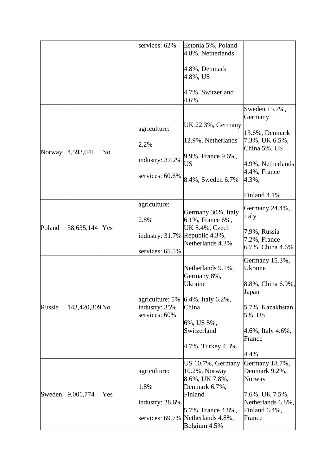|        |                           |     | services: 62%                  | Estonia 5%, Poland<br>4.8%, Netherlands |                                                  |
|--------|---------------------------|-----|--------------------------------|-----------------------------------------|--------------------------------------------------|
|        |                           |     |                                | 4.8%, Denmark<br>4.8%, US               |                                                  |
|        |                           |     |                                | 4.7%, Switzerland<br>4.6%               |                                                  |
|        |                           |     |                                |                                         | Sweden 15.7%,<br>Germany                         |
|        |                           |     | agriculture:                   | UK 22.3%, Germany                       | 13.6%, Denmark                                   |
| Norway | 4,593,041                 | No  | 2.2%                           | 12.9%, Netherlands                      | 7.3%, UK 6.5%,<br>China 5%, US                   |
|        |                           |     | industry: 37.2%                | 9.9%, France 9.6%,<br>US                | 4.9%, Netherlands                                |
|        |                           |     | services: 60.6%                | 8.4%, Sweden 6.7%                       | $4.4\%$ , France<br>4.3%,                        |
|        |                           |     |                                |                                         | Finland 4.1%                                     |
|        |                           |     | agriculture:                   | Germany 30%, Italy                      | Germany 24.4%,                                   |
|        |                           |     | 2.8%                           | 6.1%, France 6%,                        | Italy                                            |
| Poland | 38,635,144                | Yes | industry: 31.7% Republic 4.3%, | UK 5.4%, Czech<br>Netherlands 4.3%      | 7.9%, Russia<br>7.2%, France<br>6.7%, China 4.6% |
|        |                           |     | services: 65.5%                |                                         |                                                  |
|        |                           |     |                                | Netherlands 9.1%,<br>Germany 8%,        | Germany 15.3%,<br>Ukraine                        |
|        |                           |     |                                | Ukraine                                 | 8.8%, China 6.9%,<br>Japan                       |
|        |                           |     | agriculture: 5%                | 6.4%, Italy 6.2%,                       |                                                  |
| Russia | 143,420,309 <sub>No</sub> |     | industry: 35%<br>services: 60% | China                                   | 5.7%, Kazakhstan<br>5%, US                       |
|        |                           |     |                                | 6%, US 5%,                              |                                                  |
|        |                           |     |                                | Switzerland                             | 4.6%, Italy 4.6%,                                |
|        |                           |     |                                | 4.7%, Turkey 4.3%                       | France                                           |
|        |                           |     |                                |                                         | 4.4%                                             |
|        |                           |     |                                | US 10.7%, Germany                       | Germany 18.7%,                                   |
|        |                           |     | agriculture:                   | 10.2%, Norway<br>8.6%, UK 7.8%,         | Denmark 9.2%,<br>Norway                          |
|        |                           |     | 1.8%                           | Denmark 6.7%,                           |                                                  |
| Sweden | 9,001,774                 | Yes |                                | Finland                                 | 7.6%, UK 7.5%,                                   |
|        |                           |     | industry: 28.6%                |                                         | Netherlands 6.8%,                                |
|        |                           |     | services: 69.7%                | 5.7%, France 4.8%,<br>Netherlands 4.8%, | Finland 6.4%,<br>France                          |
|        |                           |     |                                | Belgium 4.5%                            |                                                  |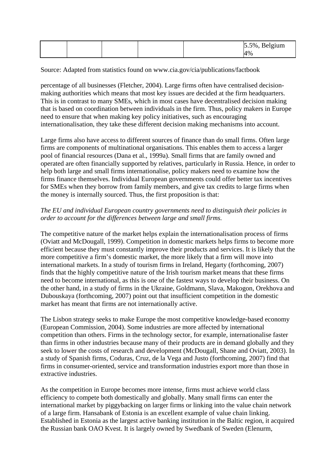|  |  | $5.5\%$ , Belgium |
|--|--|-------------------|
|  |  | 4%                |

Source: Adapted from statistics found on www.cia.gov/cia/publications/factbook

percentage of all businesses (Fletcher, 2004). Large firms often have centralised decisionmaking authorities which means that most key issues are decided at the firm headquarters. This is in contrast to many SMEs, which in most cases have decentralised decision making that is based on coordination between individuals in the firm. Thus, policy makers in Europe need to ensure that when making key policy initiatives, such as encouraging internationalisation, they take these different decision making mechanisms into account.

Large firms also have access to different sources of finance than do small firms. Often large firms are components of multinational organisations. This enables them to access a larger pool of financial resources (Dana et al., 1999a). Small firms that are family owned and operated are often financially supported by relatives, particularly in Russia. Hence, in order to help both large and small firms internationalise, policy makers need to examine how the firms finance themselves. Individual European governments could offer better tax incentives for SMEs when they borrow from family members, and give tax credits to large firms when the money is internally sourced. Thus, the first proposition is that:

## *The EU and individual European country governments need to distinguish their policies in order to account for the differences between large and small firms.*

The competitive nature of the market helps explain the internationalisation process of firms (Oviatt and McDougall, 1999). Competition in domestic markets helps firms to become more efficient because they must constantly improve their products and services. It is likely that the more competitive a firm's domestic market, the more likely that a firm will move into international markets. In a study of tourism firms in Ireland, Hegarty (forthcoming, 2007) finds that the highly competitive nature of the Irish tourism market means that these firms need to become international, as this is one of the fastest ways to develop their business. On the other hand, in a study of firms in the Ukraine, Goldmann, Slava, Makogon, Orekhova and Dubouskaya (forthcoming, 2007) point out that insufficient competition in the domestic market has meant that firms are not internationally active.

The Lisbon strategy seeks to make Europe the most competitive knowledge-based economy (European Commission, 2004). Some industries are more affected by international competition than others. Firms in the technology sector, for example, internationalise faster than firms in other industries because many of their products are in demand globally and they seek to lower the costs of research and development (McDougall, Shane and Oviatt, 2003). In a study of Spanish firms, Coduras, Cruz, de la Vega and Justo (forthcoming, 2007) find that firms in consumer-oriented, service and transformation industries export more than those in extractive industries.

As the competition in Europe becomes more intense, firms must achieve world class efficiency to compete both domestically and globally. Many small firms can enter the international market by piggybacking on larger firms or linking into the value chain network of a large firm. Hansabank of Estonia is an excellent example of value chain linking. Established in Estonia as the largest active banking institution in the Baltic region, it acquired the Russian bank OAO Kvest. It is largely owned by Swedbank of Sweden (Elenurm,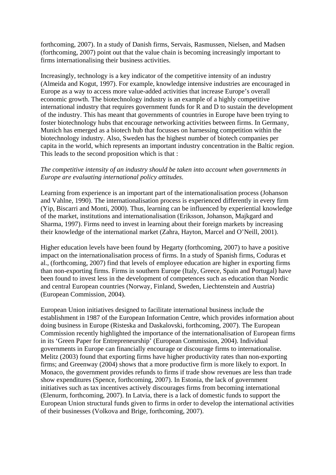forthcoming, 2007). In a study of Danish firms, Servais, Rasmussen, Nielsen, and Madsen (forthcoming, 2007) point out that the value chain is becoming increasingly important to firms internationalising their business activities.

Increasingly, technology is a key indicator of the competitive intensity of an industry (Almeida and Kogut, 1997). For example, knowledge intensive industries are encouraged in Europe as a way to access more value-added activities that increase Europe's overall economic growth. The biotechnology industry is an example of a highly competitive international industry that requires government funds for R and D to sustain the development of the industry. This has meant that governments of countries in Europe have been trying to foster biotechnology hubs that encourage networking activities between firms. In Germany, Munich has emerged as a biotech hub that focusses on harnessing competition within the biotechnology industry. Also, Sweden has the highest number of biotech companies per capita in the world, which represents an important industry concentration in the Baltic region. This leads to the second proposition which is that :

## *The competitive intensity of an industry should be taken into account when governments in Europe are evaluating international policy attitudes.*

Learning from experience is an important part of the internationalisation process (Johanson and Vahlne, 1990). The internationalisation process is experienced differently in every firm (Yip, Biscarri and Monti, 2000). Thus, learning can be influenced by experiential knowledge of the market, institutions and internationalisation (Eriksson, Johanson, Majkgard and Sharma, 1997). Firms need to invest in learning about their foreign markets by increasing their knowledge of the international market (Zahra, Hayton, Marcel and O'Neill, 2001).

Higher education levels have been found by Hegarty (forthcoming, 2007) to have a positive impact on the internationalisation process of firms. In a study of Spanish firms, Coduras et al., (forthcoming, 2007) find that levels of employee education are higher in exporting firms than non-exporting firms. Firms in southern Europe (Italy, Greece, Spain and Portugal) have been found to invest less in the development of competences such as education than Nordic and central European countries (Norway, Finland, Sweden, Liechtenstein and Austria) (European Commission, 2004).

European Union initiatives designed to facilitate international business include the establishment in 1987 of the European Information Centre, which provides information about doing business in Europe (Risteska and Daskalovski, forthcoming, 2007). The European Commission recently highlighted the importance of the internationalisation of European firms in its 'Green Paper for Entrepreneurship' (European Commission, 2004). Individual governments in Europe can financially encourage or discourage firms to internationalise. Melitz (2003) found that exporting firms have higher productivity rates than non-exporting firms; and Greenway (2004) shows that a more productive firm is more likely to export. In Monaco, the government provides refunds to firms if trade show revenues are less than trade show expenditures (Spence, forthcoming, 2007). In Estonia, the lack of government initiatives such as tax incentives actively discourages firms from becoming international (Elenurm, forthcoming, 2007). In Latvia, there is a lack of domestic funds to support the European Union structural funds given to firms in order to develop the international activities of their businesses (Volkova and Brige, forthcoming, 2007).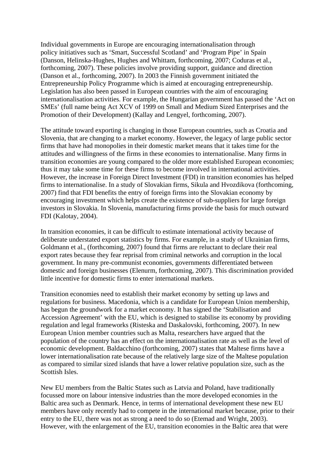Individual governments in Europe are encouraging internationalisation through policy initiatives such as 'Smart, Successful Scotland' and 'Program Pipe' in Spain (Danson, Helinska-Hughes, Hughes and Whittam, forthcoming, 2007; Coduras et al., forthcoming, 2007). These policies involve providing support, guidance and direction (Danson et al., forthcoming, 2007). In 2003 the Finnish government initiated the Entrepreneurship Policy Programme which is aimed at encouraging entrepreneurship. Legislation has also been passed in European countries with the aim of encouraging internationalisation activities. For example, the Hungarian government has passed the 'Act on SMEs' (full name being Act XCV of 1999 on Small and Medium Sized Enterprises and the Promotion of their Development) (Kallay and Lengyel, forthcoming, 2007).

The attitude toward exporting is changing in those European countries, such as Croatia and Slovenia, that are changing to a market economy. However, the legacy of large public sector firms that have had monopolies in their domestic market means that it takes time for the attitudes and willingness of the firms in these economies to internationalise. Many firms in transition economies are young compared to the older more established European economies; thus it may take some time for these firms to become involved in international activities. However, the increase in Foreign Direct Investment (FDI) in transition economies has helped firms to internationalise. In a study of Slovakian firms, Sikula and Hvozdikova (forthcoming, 2007) find that FDI benefits the entry of foreign firms into the Slovakian economy by encouraging investment which helps create the existence of sub-suppliers for large foreign investors in Slovakia. In Slovenia, manufacturing firms provide the basis for much outward FDI (Kalotay, 2004).

In transition economies, it can be difficult to estimate international activity because of deliberate understated export statistics by firms. For example, in a study of Ukrainian firms, Goldmann et al., (forthcoming, 2007) found that firms are reluctant to declare their real export rates because they fear reprisal from criminal networks and corruption in the local government. In many pre-communist economies, governments differentiated between domestic and foreign businesses (Elenurm, forthcoming, 2007). This discrimination provided little incentive for domestic firms to enter international markets.

Transition economies need to establish their market economy by setting up laws and regulations for business. Macedonia, which is a candidate for European Union membership, has begun the groundwork for a market economy. It has signed the 'Stabilisation and Accession Agreement' with the EU, which is designed to stabilise its economy by providing regulation and legal frameworks (Risteska and Daskalovski, forthcoming, 2007). In new European Union member countries such as Malta, researchers have argued that the population of the country has an effect on the internationalisation rate as well as the level of economic development. Baldacchino (forthcoming, 2007) states that Maltese firms have a lower internationalisation rate because of the relatively large size of the Maltese population as compared to similar sized islands that have a lower relative population size, such as the Scottish Isles.

New EU members from the Baltic States such as Latvia and Poland, have traditionally focussed more on labour intensive industries than the more developed economies in the Baltic area such as Denmark. Hence, in terms of international development these new EU members have only recently had to compete in the international market because, prior to their entry to the EU, there was not as strong a need to do so (Etemad and Wright, 2003). However, with the enlargement of the EU, transition economies in the Baltic area that were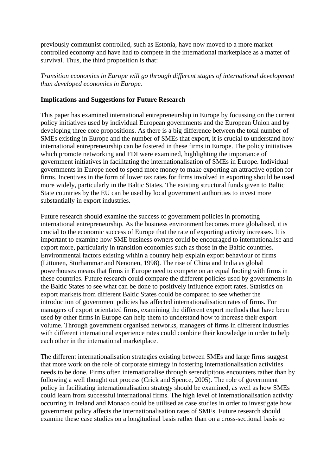previously communist controlled, such as Estonia, have now moved to a more market controlled economy and have had to compete in the international marketplace as a matter of survival. Thus, the third proposition is that:

*Transition economies in Europe will go through different stages of international development than developed economies in Europe.* 

#### **Implications and Suggestions for Future Research**

This paper has examined international entrepreneurship in Europe by focussing on the current policy initiatives used by individual European governments and the European Union and by developing three core propositions. As there is a big difference between the total number of SMEs existing in Europe and the number of SMEs that export, it is crucial to understand how international entrepreneurship can be fostered in these firms in Europe. The policy initiatives which promote networking and FDI were examined, highlighting the importance of government initiatives in facilitating the internationalisation of SMEs in Europe. Individual governments in Europe need to spend more money to make exporting an attractive option for firms. Incentives in the form of lower tax rates for firms involved in exporting should be used more widely, particularly in the Baltic States. The existing structural funds given to Baltic State countries by the EU can be used by local government authorities to invest more substantially in export industries.

Future research should examine the success of government policies in promoting international entrepreneurship. As the business environment becomes more globalised, it is crucial to the economic success of Europe that the rate of exporting activity increases. It is important to examine how SME business owners could be encouraged to internationalise and export more, particularly in transition economies such as those in the Baltic countries. Environmental factors existing within a country help explain export behaviour of firms (Littunen, Storhammar and Nenonen, 1998). The rise of China and India as global powerhouses means that firms in Europe need to compete on an equal footing with firms in these countries. Future research could compare the different policies used by governments in the Baltic States to see what can be done to positively influence export rates. Statistics on export markets from different Baltic States could be compared to see whether the introduction of government policies has affected internationalisation rates of firms. For managers of export orientated firms, examining the different export methods that have been used by other firms in Europe can help them to understand how to increase their export volume. Through government organised networks, managers of firms in different industries with different international experience rates could combine their knowledge in order to help each other in the international marketplace.

The different internationalisation strategies existing between SMEs and large firms suggest that more work on the role of corporate strategy in fostering internationalisation activities needs to be done. Firms often internationalise through serendipitous encounters rather than by following a well thought out process (Crick and Spence, 2005). The role of government policy in facilitating internationalisation strategy should be examined, as well as how SMEs could learn from successful international firms. The high level of internationalisation activity occurring in Ireland and Monaco could be utilised as case studies in order to investigate how government policy affects the internationalisation rates of SMEs. Future research should examine these case studies on a longitudinal basis rather than on a cross-sectional basis so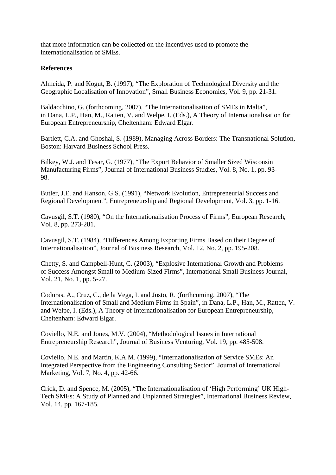that more information can be collected on the incentives used to promote the internationalisation of SMEs.

## **References**

Almeida, P. and Kogut, B. (1997), "The Exploration of Technological Diversity and the Geographic Localisation of Innovation", Small Business Economics, Vol. 9, pp. 21-31.

Baldacchino, G. (forthcoming, 2007), "The Internationalisation of SMEs in Malta", in Dana, L.P., Han, M., Ratten, V. and Welpe, I. (Eds.), A Theory of Internationalisation for European Entrepreneurship, Cheltenham: Edward Elgar.

Bartlett, C.A. and Ghoshal, S. (1989), Managing Across Borders: The Transnational Solution, Boston: Harvard Business School Press.

Bilkey, W.J. and Tesar, G. (1977), "The Export Behavior of Smaller Sized Wisconsin Manufacturing Firms", Journal of International Business Studies, Vol. 8, No. 1, pp. 93- 98.

Butler, J.E. and Hanson, G.S. (1991), "Network Evolution, Entrepreneurial Success and Regional Development", Entrepreneurship and Regional Development, Vol. 3, pp. 1-16.

Cavusgil, S.T. (1980), "On the Internationalisation Process of Firms", European Research, Vol. 8, pp. 273-281.

Cavusgil, S.T. (1984), "Differences Among Exporting Firms Based on their Degree of Internationalisation", Journal of Business Research, Vol. 12, No. 2, pp. 195-208.

Chetty, S. and Campbell-Hunt, C. (2003), "Explosive International Growth and Problems of Success Amongst Small to Medium-Sized Firms", International Small Business Journal, Vol. 21, No. 1, pp. 5-27.

Coduras, A., Cruz, C., de la Vega, I. and Justo, R. (forthcoming, 2007), "The Internationalisation of Small and Medium Firms in Spain", in Dana, L.P., Han, M., Ratten, V. and Welpe, I. (Eds.), A Theory of Internationalisation for European Entrepreneurship, Cheltenham: Edward Elgar.

Coviello, N.E. and Jones, M.V. (2004), "Methodological Issues in International Entrepreneurship Research", Journal of Business Venturing, Vol. 19, pp. 485-508.

Coviello, N.E. and Martin, K.A.M. (1999), "Internationalisation of Service SMEs: An Integrated Perspective from the Engineering Consulting Sector", Journal of International Marketing, Vol. 7, No. 4, pp. 42-66.

Crick, D. and Spence, M. (2005), "The Internationalisation of 'High Performing' UK High-Tech SMEs: A Study of Planned and Unplanned Strategies", International Business Review, Vol. 14, pp. 167-185.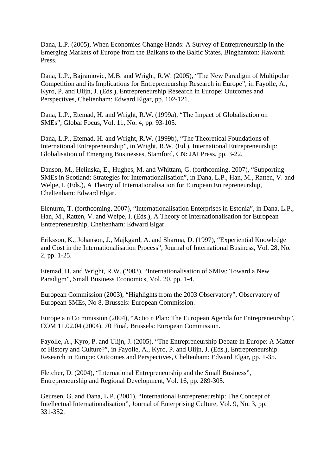Dana, L.P. (2005), When Economies Change Hands: A Survey of Entrepreneurship in the Emerging Markets of Europe from the Balkans to the Baltic States, Binghamton: Haworth Press.

Dana, L.P., Bajramovic, M.B. and Wright, R.W. (2005), "The New Paradigm of Multipolar Competition and its Implications for Entrepreneurship Research in Europe", in Fayolle, A., Kyro, P. and Ulijn, J. (Eds.), Entrepreneurship Research in Europe: Outcomes and Perspectives, Cheltenham: Edward Elgar, pp. 102-121.

Dana, L.P., Etemad, H. and Wright, R.W. (1999a), "The Impact of Globalisation on SMEs", Global Focus, Vol. 11, No. 4, pp. 93-105.

Dana, L.P., Etemad, H. and Wright, R.W. (1999b), "The Theoretical Foundations of International Entrepreneurship", in Wright, R.W. (Ed.), International Entrepreneurship: Globalisation of Emerging Businesses, Stamford, CN: JAI Press, pp. 3-22.

Danson, M., Helinska, E., Hughes, M. and Whittam, G. (forthcoming, 2007), "Supporting SMEs in Scotland: Strategies for Internationalisation", in Dana, L.P., Han, M., Ratten, V. and Welpe, I. (Eds.), A Theory of Internationalisation for European Entrepreneurship, Cheltenham: Edward Elgar.

Elenurm, T. (forthcoming, 2007), "Internationalisation Enterprises in Estonia", in Dana, L.P., Han, M., Ratten, V. and Welpe, I. (Eds.), A Theory of Internationalisation for European Entrepreneurship, Cheltenham: Edward Elgar.

Eriksson, K., Johanson, J., Majkgard, A. and Sharma, D. (1997), "Experiential Knowledge and Cost in the Internationalisation Process", Journal of International Business, Vol. 28, No. 2, pp. 1-25.

Etemad, H. and Wright, R.W. (2003), "Internationalisation of SMEs: Toward a New Paradigm", Small Business Economics, Vol. 20, pp. 1-4.

European Commission (2003), "Highlights from the 2003 Observatory", Observatory of European SMEs, No 8, Brussels: European Commission.

Europe a n Co mmission (2004), "Actio n Plan: The European Agenda for Entrepreneurship", COM 11.02.04 (2004), 70 Final, Brussels: European Commission.

Fayolle, A., Kyro, P. and Ulijn, J. (2005), "The Entrepreneurship Debate in Europe: A Matter of History and Culture?", in Fayolle, A., Kyro, P. and Ulijn, J. (Eds.), Entrepreneurship Research in Europe: Outcomes and Perspectives, Cheltenham: Edward Elgar, pp. 1-35.

Fletcher, D. (2004), "International Entrepreneurship and the Small Business", Entrepreneurship and Regional Development, Vol. 16, pp. 289-305.

Geursen, G. and Dana, L.P. (2001), "International Entrepreneurship: The Concept of Intellectual Internationalisation", Journal of Enterprising Culture, Vol. 9, No. 3, pp. 331-352.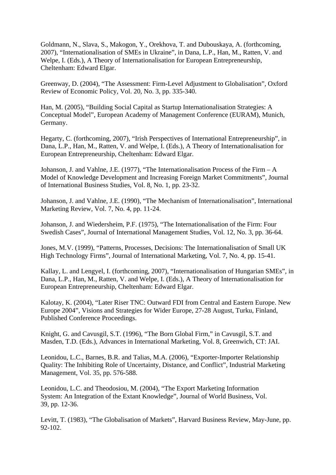Goldmann, N., Slava, S., Makogon, Y., Orekhova, T. and Dubouskaya, A. (forthcoming, 2007), "Internationalisation of SMEs in Ukraine", in Dana, L.P., Han, M., Ratten, V. and Welpe, I. (Eds.), A Theory of Internationalisation for European Entrepreneurship, Cheltenham: Edward Elgar.

Greenway, D. (2004), "The Assessment: Firm-Level Adjustment to Globalisation", Oxford Review of Economic Policy, Vol. 20, No. 3, pp. 335-340.

Han, M. (2005), "Building Social Capital as Startup Internationalisation Strategies: A Conceptual Model", European Academy of Management Conference (EURAM), Munich, Germany.

Hegarty, C. (forthcoming, 2007), "Irish Perspectives of International Entrepreneurship", in Dana, L.P., Han, M., Ratten, V. and Welpe, I. (Eds.), A Theory of Internationalisation for European Entrepreneurship, Cheltenham: Edward Elgar.

Johanson, J. and Vahlne, J.E. (1977), "The Internationalisation Process of the Firm  $-A$ Model of Knowledge Development and Increasing Foreign Market Commitments", Journal of International Business Studies, Vol. 8, No. 1, pp. 23-32.

Johanson, J. and Vahlne, J.E. (1990), "The Mechanism of Internationalisation", International Marketing Review, Vol. 7, No. 4, pp. 11-24.

Johanson, J. and Wiedersheim, P.F. (1975), "The Internationalisation of the Firm: Four Swedish Cases", Journal of International Management Studies, Vol. 12, No. 3, pp. 36-64.

Jones, M.V. (1999), "Patterns, Processes, Decisions: The Internationalisation of Small UK High Technology Firms", Journal of International Marketing, Vol. 7, No. 4, pp. 15-41.

Kallay, L. and Lengyel, I. (forthcoming, 2007), "Internationalisation of Hungarian SMEs", in Dana, L.P., Han, M., Ratten, V. and Welpe, I. (Eds.), A Theory of Internationalisation for European Entrepreneurship, Cheltenham: Edward Elgar.

Kalotay, K. (2004), "Later Riser TNC: Outward FDI from Central and Eastern Europe. New Europe 2004", Visions and Strategies for Wider Europe, 27-28 August, Turku, Finland, Published Conference Proceedings.

Knight, G. and Cavusgil, S.T. (1996), "The Born Global Firm," in Cavusgil, S.T. and Masden, T.D. (Eds.), Advances in International Marketing, Vol. 8, Greenwich, CT: JAI.

Leonidou, L.C., Barnes, B.R. and Talias, M.A. (2006), "Exporter-Importer Relationship Quality: The Inhibiting Role of Uncertainty, Distance, and Conflict", Industrial Marketing Management, Vol. 35, pp. 576-588.

Leonidou, L.C. and Theodosiou, M. (2004), "The Export Marketing Information System: An Integration of the Extant Knowledge", Journal of World Business, Vol. 39, pp. 12-36.

Levitt, T. (1983), "The Globalisation of Markets", Harvard Business Review, May-June, pp. 92-102.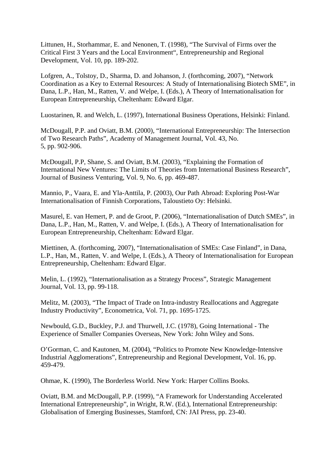Littunen, H., Storhammar, E. and Nenonen, T. (1998), "The Survival of Firms over the Critical First 3 Years and the Local Environment", Entrepreneurship and Regional Development, Vol. 10, pp. 189-202.

Lofgren, A., Tolstoy, D., Sharma, D. and Johanson, J. (forthcoming, 2007), "Network Coordination as a Key to External Resources: A Study of Internationalising Biotech SME", in Dana, L.P., Han, M., Ratten, V. and Welpe, I. (Eds.), A Theory of Internationalisation for European Entrepreneurship, Cheltenham: Edward Elgar.

Luostarinen, R. and Welch, L. (1997), International Business Operations, Helsinki: Finland.

McDougall, P.P. and Oviatt, B.M. (2000), "International Entrepreneurship: The Intersection of Two Research Paths", Academy of Management Journal, Vol. 43, No. 5, pp. 902-906.

McDougall, P.P, Shane, S. and Oviatt, B.M. (2003), "Explaining the Formation of International New Ventures: The Limits of Theories from International Business Research", Journal of Business Venturing, Vol. 9, No. 6, pp. 469-487.

Mannio, P., Vaara, E. and Yla-Anttila, P. (2003), Our Path Abroad: Exploring Post-War Internationalisation of Finnish Corporations, Taloustieto Oy: Helsinki.

Masurel, E. van Hemert, P. and de Groot, P. (2006), "Internationalisation of Dutch SMEs", in Dana, L.P., Han, M., Ratten, V. and Welpe, I. (Eds.), A Theory of Internationalisation for European Entrepreneurship, Cheltenham: Edward Elgar.

Miettinen, A. (forthcoming, 2007), "Internationalisation of SMEs: Case Finland", in Dana, L.P., Han, M., Ratten, V. and Welpe, I. (Eds.), A Theory of Internationalisation for European Entrepreneurship, Cheltenham: Edward Elgar.

Melin, L. (1992), "Internationalisation as a Strategy Process", Strategic Management Journal, Vol. 13, pp. 99-118.

Melitz, M. (2003), "The Impact of Trade on Intra-industry Reallocations and Aggregate Industry Productivity", Econometrica, Vol. 71, pp. 1695-1725.

Newbould, G.D., Buckley, P.J. and Thurwell, J.C. (1978), Going International - The Experience of Smaller Companies Overseas, New York: John Wiley and Sons.

O'Gorman, C. and Kautonen, M. (2004), "Politics to Promote New Knowledge-Intensive Industrial Agglomerations", Entrepreneurship and Regional Development, Vol. 16, pp. 459-479.

Ohmae, K. (1990), The Borderless World. New York: Harper Collins Books.

Oviatt, B.M. and McDougall, P.P. (1999), "A Framework for Understanding Accelerated International Entrepreneurship", in Wright, R.W. (Ed.), International Entrepreneurship: Globalisation of Emerging Businesses, Stamford, CN: JAI Press, pp. 23-40.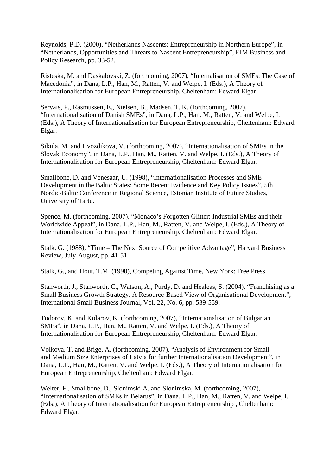Reynolds, P.D. (2000), "Netherlands Nascents: Entrepreneurship in Northern Europe", in "Netherlands, Opportunities and Threats to Nascent Entrepreneurship", EIM Business and Policy Research, pp. 33-52.

Risteska, M. and Daskalovski, Z. (forthcoming, 2007), "Internalisation of SMEs: The Case of Macedonia", in Dana, L.P., Han, M., Ratten, V. and Welpe, I. (Eds.), A Theory of Internationalisation for European Entrepreneurship, Cheltenham: Edward Elgar.

Servais, P., Rasmussen, E., Nielsen, B., Madsen, T. K. (forthcoming, 2007), "Internationalisation of Danish SMEs", in Dana, L.P., Han, M., Ratten, V. and Welpe, I. (Eds.), A Theory of Internationalisation for European Entrepreneurship, Cheltenham: Edward Elgar.

Sikula, M. and Hvozdikova, V. (forthcoming, 2007), "Internationalisation of SMEs in the Slovak Economy", in Dana, L.P., Han, M., Ratten, V. and Welpe, I. (Eds.), A Theory of Internationalisation for European Entrepreneurship, Cheltenham: Edward Elgar.

Smallbone, D. and Venesaar, U. (1998), "Internationalisation Processes and SME Development in the Baltic States: Some Recent Evidence and Key Policy Issues", 5th Nordic-Baltic Conference in Regional Science, Estonian Institute of Future Studies, University of Tartu.

Spence, M. (forthcoming, 2007), "Monaco's Forgotten Glitter: Industrial SMEs and their Worldwide Appeal", in Dana, L.P., Han, M., Ratten, V. and Welpe, I. (Eds.), A Theory of Internationalisation for European Entrepreneurship, Cheltenham: Edward Elgar.

Stalk, G. (1988), "Time – The Next Source of Competitive Advantage", Harvard Business Review, July-August, pp. 41-51.

Stalk, G., and Hout, T.M. (1990), Competing Against Time, New York: Free Press.

Stanworth, J., Stanworth, C., Watson, A., Purdy, D. and Healeas, S. (2004), "Franchising as a Small Business Growth Strategy. A Resource-Based View of Organisational Development", International Small Business Journal, Vol. 22, No. 6, pp. 539-559.

Todorov, K. and Kolarov, K. (forthcoming, 2007), "Internationalisation of Bulgarian SMEs", in Dana, L.P., Han, M., Ratten, V. and Welpe, I. (Eds.), A Theory of Internationalisation for European Entrepreneurship, Cheltenham: Edward Elgar.

Volkova, T. and Brige, A. (forthcoming, 2007), "Analysis of Environment for Small and Medium Size Enterprises of Latvia for further Internationalisation Development", in Dana, L.P., Han, M., Ratten, V. and Welpe, I. (Eds.), A Theory of Internationalisation for European Entrepreneurship, Cheltenham: Edward Elgar.

Welter, F., Smallbone, D., Slonimski A. and Slonimska, M. (forthcoming, 2007), "Internationalisation of SMEs in Belarus", in Dana, L.P., Han, M., Ratten, V. and Welpe, I. (Eds.), A Theory of Internationalisation for European Entrepreneurship , Cheltenham: Edward Elgar.